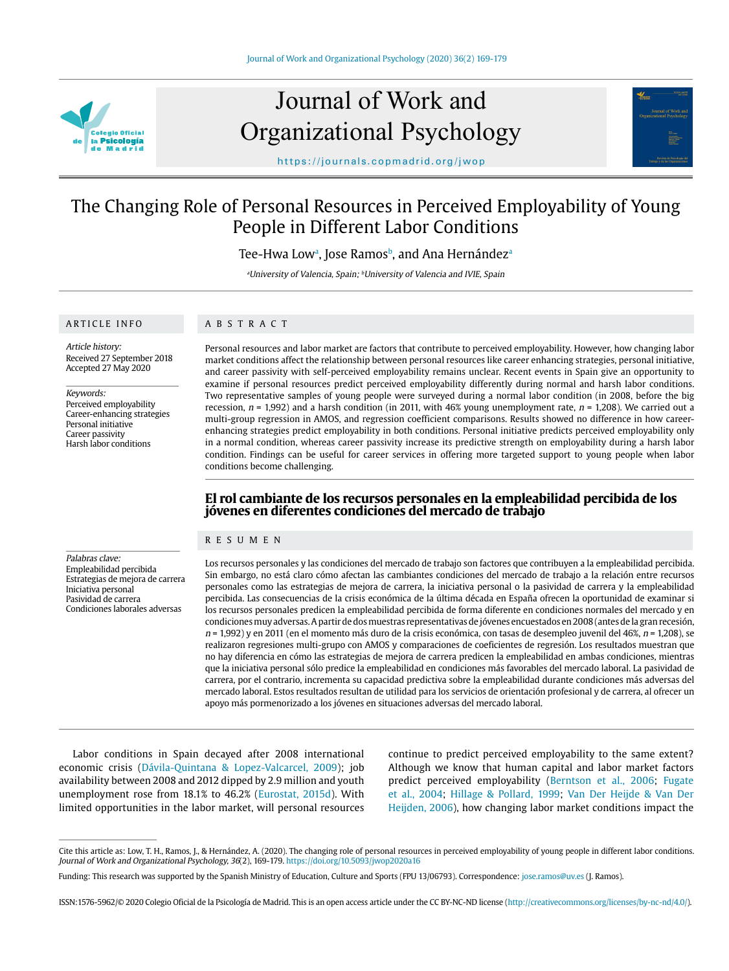

# Journal of Work and Organizational Psychology



https://journals.copmadrid.org/jwop

# The Changing Role of Personal Resources in Perceived Employability of Young People in Different Labor Conditions

Tee-Hwa Lowª, Jose Ramosʰ, and Ana Hernándezª

<sup>a</sup>University of Valencia, Spain; <sup>b</sup>University of Valencia and IVIE, Spain

# ARTICLE INFO

#### ABSTRACT

Article history: Received 27 September 2018 Accepted 27 May 2020

Keywords:

Perceived employability Career-enhancing strategies Personal initiative Career passivity Harsh labor conditions

Personal resources and labor market are factors that contribute to perceived employability. However, how changing labor market conditions affect the relationship between personal resources like career enhancing strategies, personal initiative, and career passivity with self-perceived employability remains unclear. Recent events in Spain give an opportunity to examine if personal resources predict perceived employability differently during normal and harsh labor conditions. Two representative samples of young people were surveyed during a normal labor condition (in 2008, before the big recession,  $n = 1,992$  and a harsh condition (in 2011, with 46% young unemployment rate,  $n = 1,208$ ). We carried out a multi-group regression in AMOS, and regression coefficient comparisons. Results showed no difference in how careerenhancing strategies predict employability in both conditions. Personal initiative predicts perceived employability only in a normal condition, whereas career passivity increase its predictive strength on employability during a harsh labor condition. Findings can be useful for career services in offering more targeted support to young people when labor conditions become challenging.

# **El rol cambiante de los recursos personales en la empleabilidad percibida de los jóvenes en diferentes condiciones del mercado de trabajo**

#### RESUMEN

Palabras clave: Empleabilidad percibida Estrategias de mejora de carrera Iniciativa personal Pasividad de carrera Condiciones laborales adversas

Los recursos personales y las condiciones del mercado de trabajo son factores que contribuyen a la empleabilidad percibida. Sin embargo, no está claro cómo afectan las cambiantes condiciones del mercado de trabajo a la relación entre recursos personales como las estrategias de mejora de carrera, la iniciativa personal o la pasividad de carrera y la empleabilidad percibida. Las consecuencias de la crisis económica de la última década en España ofrecen la oportunidad de examinar si los recursos personales predicen la empleabilidad percibida de forma diferente en condiciones normales del mercado y en condiciones muy adversas. A partir de dos muestras representativas de jóvenes encuestados en 2008 (antes de la gran recesión,  $n = 1,992$ ) y en 2011 (en el momento más duro de la crisis económica, con tasas de desempleo juvenil del 46%,  $n = 1,208$ ), se realizaron regresiones multi-grupo con AMOS y comparaciones de coeficientes de regresión. Los resultados muestran que no hay diferencia en cómo las estrategias de mejora de carrera predicen la empleabilidad en ambas condiciones, mientras que la iniciativa personal sólo predice la empleabilidad en condiciones más favorables del mercado laboral. La pasividad de carrera, por el contrario, incrementa su capacidad predictiva sobre la empleabilidad durante condiciones más adversas del mercado laboral. Estos resultados resultan de utilidad para los servicios de orientación profesional y de carrera, al ofrecer un apoyo más pormenorizado a los jóvenes en situaciones adversas del mercado laboral.

Labor conditions in Spain decayed after 2008 international economic crisis (Dávila-Quintana & Lopez-Valcarcel, 2009); job availability between 2008 and 2012 dipped by 2.9 million and youth unemployment rose from 18.1% to 46.2% (Eurostat, 2015d). With limited opportunities in the labor market, will personal resources

continue to predict perceived employability to the same extent? Although we know that human capital and labor market factors predict perceived employability (Berntson et al., 2006; Fugate et al., 2004; Hillage & Pollard, 1999; Van Der Heijde & Van Der Heijden, 2006), how changing labor market conditions impact the

Cite this article as: Low, T. H., Ramos, J., & Hernández, A. (2020). The changing role of personal resources in perceived employability of young people in different labor conditions. Journal of Work and Organizational Psychology, 36(2), 169-179. https://doi.org/10.5093/jwop2020a16

Funding: This research was supported by the Spanish Ministry of Education, Culture and Sports (FPU 13/06793). Correspondence: jose.ramos@uv.es (J. Ramos).

ISSN:1576-5962/© 2020 Colegio Oficial de la Psicología de Madrid. This is an open access article under the CC BY-NC-ND license (http://creativecommons.org/licenses/by-nc-nd/4.0/).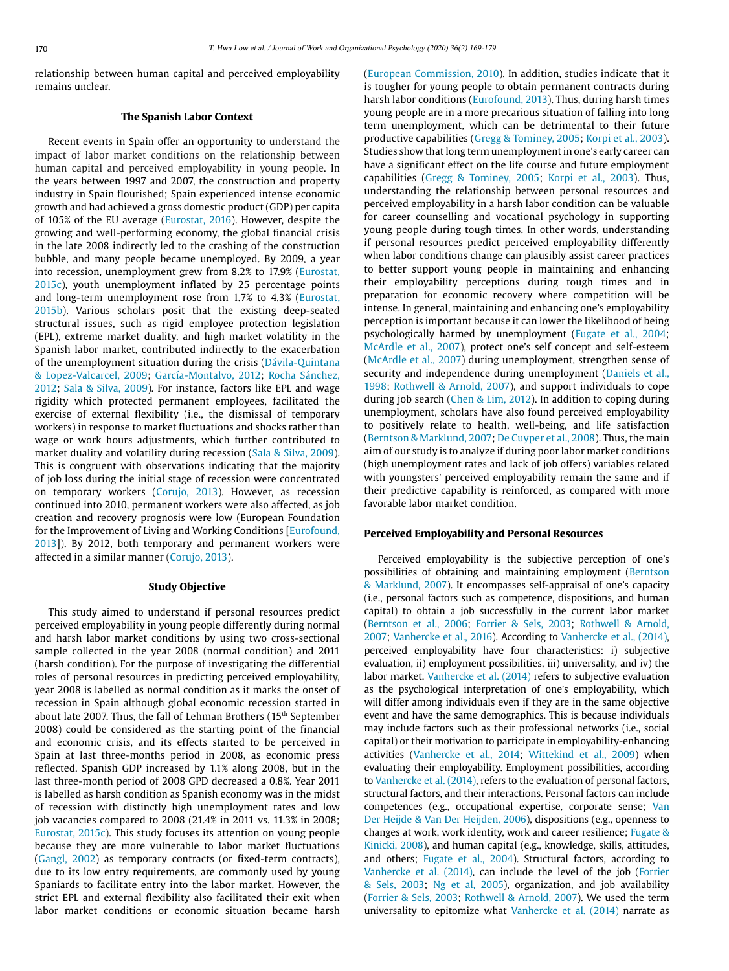relationship between human capital and perceived employability remains unclear.

# **The Spanish Labor Context**

Recent events in Spain offer an opportunity to understand the impact of labor market conditions on the relationship between human capital and perceived employability in young people. In the years between 1997 and 2007, the construction and property industry in Spain flourished; Spain experienced intense economic growth and had achieved a gross domestic product (GDP) per capita of 105% of the EU average (Eurostat, 2016). However, despite the growing and well-performing economy, the global financial crisis in the late 2008 indirectly led to the crashing of the construction bubble, and many people became unemployed. By 2009, a year into recession, unemployment grew from 8.2% to 17.9% (Eurostat, 2015c), youth unemployment inflated by 25 percentage points and long-term unemployment rose from 1.7% to 4.3% (Eurostat, 2015b). Various scholars posit that the existing deep-seated structural issues, such as rigid employee protection legislation (EPL), extreme market duality, and high market volatility in the Spanish labor market, contributed indirectly to the exacerbation of the unemployment situation during the crisis (Dávila-Quintana & Lopez-Valcarcel, 2009; García-Montalvo, 2012; Rocha Sánchez, 2012; Sala & Silva, 2009). For instance, factors like EPL and wage rigidity which protected permanent employees, facilitated the exercise of external flexibility (i.e., the dismissal of temporary workers) in response to market fluctuations and shocks rather than wage or work hours adjustments, which further contributed to market duality and volatility during recession (Sala & Silva, 2009). This is congruent with observations indicating that the majority of job loss during the initial stage of recession were concentrated on temporary workers (Corujo, 2013). However, as recession continued into 2010, permanent workers were also affected, as job creation and recovery prognosis were low (European Foundation for the Improvement of Living and Working Conditions [Eurofound, 2013]). By 2012, both temporary and permanent workers were affected in a similar manner (Corujo, 2013).

## **Study Objective**

This study aimed to understand if personal resources predict perceived employability in young people differently during normal and harsh labor market conditions by using two cross-sectional sample collected in the year 2008 (normal condition) and 2011 (harsh condition). For the purpose of investigating the differential roles of personal resources in predicting perceived employability, year 2008 is labelled as normal condition as it marks the onset of recession in Spain although global economic recession started in about late 2007. Thus, the fall of Lehman Brothers (15<sup>th</sup> September 2008) could be considered as the starting point of the financial and economic crisis, and its effects started to be perceived in Spain at last three-months period in 2008, as economic press reflected. Spanish GDP increased by 1.1% along 2008, but in the last three-month period of 2008 GPD decreased a 0.8%. Year 2011 is labelled as harsh condition as Spanish economy was in the midst of recession with distinctly high unemployment rates and low job vacancies compared to 2008 (21.4% in 2011 vs. 11.3% in 2008; Eurostat, 2015c). This study focuses its attention on young people because they are more vulnerable to labor market fluctuations (Gangl, 2002) as temporary contracts (or fixed-term contracts), due to its low entry requirements, are commonly used by young Spaniards to facilitate entry into the labor market. However, the strict EPL and external flexibility also facilitated their exit when labor market conditions or economic situation became harsh (European Commission, 2010). In addition, studies indicate that it is tougher for young people to obtain permanent contracts during harsh labor conditions (Eurofound, 2013). Thus, during harsh times young people are in a more precarious situation of falling into long term unemployment, which can be detrimental to their future productive capabilities (Gregg & Tominey, 2005; Korpi et al., 2003). Studies show that long term unemployment in one's early career can have a significant effect on the life course and future employment capabilities (Gregg & Tominey, 2005; Korpi et al., 2003). Thus, understanding the relationship between personal resources and perceived employability in a harsh labor condition can be valuable for career counselling and vocational psychology in supporting young people during tough times. In other words, understanding if personal resources predict perceived employability differently when labor conditions change can plausibly assist career practices to better support young people in maintaining and enhancing their employability perceptions during tough times and in preparation for economic recovery where competition will be intense. In general, maintaining and enhancing one's employability perception is important because it can lower the likelihood of being psychologically harmed by unemployment (Fugate et al., 2004; McArdle et al., 2007), protect one's self concept and self-esteem (McArdle et al., 2007) during unemployment, strengthen sense of security and independence during unemployment (Daniels et al., 1998; Rothwell & Arnold, 2007), and support individuals to cope during job search (Chen & Lim, 2012). In addition to coping during unemployment, scholars have also found perceived employability to positively relate to health, well-being, and life satisfaction (Berntson & Marklund, 2007; De Cuyper et al., 2008). Thus, the main aim of our study is to analyze if during poor labor market conditions (high unemployment rates and lack of job offers) variables related with youngsters' perceived employability remain the same and if their predictive capability is reinforced, as compared with more favorable labor market condition.

#### **Perceived Employability and Personal Resources**

Perceived employability is the subjective perception of one's possibilities of obtaining and maintaining employment (Berntson & Marklund, 2007). It encompasses self-appraisal of one's capacity (i.e., personal factors such as competence, dispositions, and human capital) to obtain a job successfully in the current labor market (Berntson et al., 2006; Forrier & Sels, 2003; Rothwell & Arnold, 2007; Vanhercke et al., 2016). According to Vanhercke et al., (2014), perceived employability have four characteristics: i) subjective evaluation, ii) employment possibilities, iii) universality, and iv) the labor market. Vanhercke et al. (2014) refers to subjective evaluation as the psychological interpretation of one's employability, which will differ among individuals even if they are in the same objective event and have the same demographics. This is because individuals may include factors such as their professional networks (i.e., social capital) or their motivation to participate in employability-enhancing activities (Vanhercke et al., 2014; Wittekind et al., 2009) when evaluating their employability. Employment possibilities, according to Vanhercke et al. (2014), refers to the evaluation of personal factors, structural factors, and their interactions. Personal factors can include competences (e.g., occupational expertise, corporate sense; Van Der Heijde & Van Der Heijden, 2006), dispositions (e.g., openness to changes at work, work identity, work and career resilience; Fugate & Kinicki, 2008), and human capital (e.g., knowledge, skills, attitudes, and others; Fugate et al., 2004). Structural factors, according to Vanhercke et al. (2014), can include the level of the job (Forrier & Sels, 2003; Ng et al, 2005), organization, and job availability (Forrier & Sels, 2003; Rothwell & Arnold, 2007). We used the term universality to epitomize what Vanhercke et al. (2014) narrate as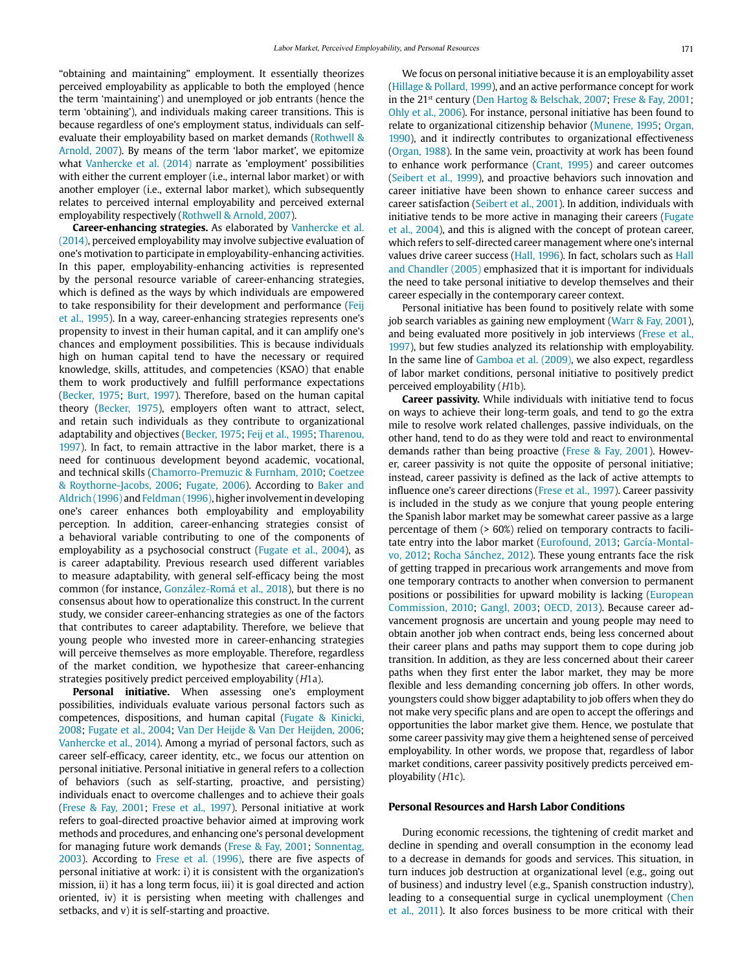"obtaining and maintaining" employment. It essentially theorizes perceived employability as applicable to both the employed (hence the term 'maintaining') and unemployed or job entrants (hence the term 'obtaining'), and individuals making career transitions. This is because regardless of one's employment status, individuals can selfevaluate their employability based on market demands (Rothwell & Arnold, 2007). By means of the term 'labor market', we epitomize what Vanhercke et al. (2014) narrate as 'employment' possibilities with either the current employer (i.e., internal labor market) or with another employer (i.e., external labor market), which subsequently relates to perceived internal employability and perceived external employability respectively (Rothwell & Arnold, 2007).

**Career-enhancing strategies.** As elaborated by Vanhercke et al. (2014), perceived employability may involve subjective evaluation of one's motivation to participate in employability-enhancing activities. In this paper, employability-enhancing activities is represented by the personal resource variable of career-enhancing strategies, which is defined as the ways by which individuals are empowered to take responsibility for their development and performance (Feij et al., 1995). In a way, career-enhancing strategies represents one's propensity to invest in their human capital, and it can amplify one's chances and employment possibilities. This is because individuals high on human capital tend to have the necessary or required knowledge, skills, attitudes, and competencies (KSAO) that enable them to work productively and fulfill performance expectations (Becker, 1975; Burt, 1997). Therefore, based on the human capital theory (Becker, 1975), employers often want to attract, select, and retain such individuals as they contribute to organizational adaptability and objectives (Becker, 1975; Feij et al., 1995; Tharenou, 1997). In fact, to remain attractive in the labor market, there is a need for continuous development beyond academic, vocational, and technical skills (Chamorro-Premuzic & Furnham, 2010; Coetzee & Roythorne-Jacobs, 2006; Fugate, 2006). According to Baker and Aldrich (1996) and Feldman (1996), higher involvement in developing one's career enhances both employability and employability perception. In addition, career-enhancing strategies consist of a behavioral variable contributing to one of the components of employability as a psychosocial construct (Fugate et al., 2004), as is career adaptability. Previous research used different variables to measure adaptability, with general self-efficacy being the most common (for instance, González-Romá et al., 2018), but there is no consensus about how to operationalize this construct. In the current study, we consider career-enhancing strategies as one of the factors that contributes to career adaptability. Therefore, we believe that young people who invested more in career-enhancing strategies will perceive themselves as more employable. Therefore, regardless of the market condition, we hypothesize that career-enhancing strategies positively predict perceived employability (H1a).

**Personal initiative.** When assessing one's employment possibilities, individuals evaluate various personal factors such as competences, dispositions, and human capital (Fugate & Kinicki, 2008; Fugate et al., 2004; Van Der Heijde & Van Der Heijden, 2006; Vanhercke et al., 2014). Among a myriad of personal factors, such as career self-efficacy, career identity, etc., we focus our attention on personal initiative. Personal initiative in general refers to a collection of behaviors (such as self-starting, proactive, and persisting) individuals enact to overcome challenges and to achieve their goals (Frese & Fay, 2001; Frese et al., 1997). Personal initiative at work refers to goal-directed proactive behavior aimed at improving work methods and procedures, and enhancing one's personal development for managing future work demands (Frese & Fay, 2001; Sonnentag, 2003). According to Frese et al. (1996), there are five aspects of personal initiative at work: i) it is consistent with the organization's mission, ii) it has a long term focus, iii) it is goal directed and action oriented, iv) it is persisting when meeting with challenges and setbacks, and v) it is self-starting and proactive.

We focus on personal initiative because it is an employability asset (Hillage & Pollard, 1999), and an active performance concept for work in the 21st century (Den Hartog & Belschak, 2007; Frese & Fay, 2001; Ohly et al., 2006). For instance, personal initiative has been found to relate to organizational citizenship behavior (Munene, 1995; Organ, 1990), and it indirectly contributes to organizational effectiveness (Organ, 1988). In the same vein, proactivity at work has been found to enhance work performance (Crant, 1995) and career outcomes (Seibert et al., 1999), and proactive behaviors such innovation and career initiative have been shown to enhance career success and career satisfaction (Seibert et al., 2001). In addition, individuals with initiative tends to be more active in managing their careers (Fugate et al., 2004), and this is aligned with the concept of protean career, which refers to self-directed career management where one's internal values drive career success (Hall, 1996). In fact, scholars such as Hall and Chandler (2005) emphasized that it is important for individuals the need to take personal initiative to develop themselves and their career especially in the contemporary career context.

Personal initiative has been found to positively relate with some job search variables as gaining new employment (Warr & Fay, 2001), and being evaluated more positively in job interviews (Frese et al., 1997), but few studies analyzed its relationship with employability. In the same line of Gamboa et al. (2009), we also expect, regardless of labor market conditions, personal initiative to positively predict perceived employability (H1b).

**Career passivity.** While individuals with initiative tend to focus on ways to achieve their long-term goals, and tend to go the extra mile to resolve work related challenges, passive individuals, on the other hand, tend to do as they were told and react to environmental demands rather than being proactive (Frese & Fay, 2001). However, career passivity is not quite the opposite of personal initiative; instead, career passivity is defined as the lack of active attempts to influence one's career directions (Frese et al., 1997). Career passivity is included in the study as we conjure that young people entering the Spanish labor market may be somewhat career passive as a large percentage of them (> 60%) relied on temporary contracts to facilitate entry into the labor market (Eurofound, 2013; García-Montalvo, 2012; Rocha Sánchez, 2012). These young entrants face the risk of getting trapped in precarious work arrangements and move from one temporary contracts to another when conversion to permanent positions or possibilities for upward mobility is lacking (European Commission, 2010; Gangl, 2003; OECD, 2013). Because career advancement prognosis are uncertain and young people may need to obtain another job when contract ends, being less concerned about their career plans and paths may support them to cope during job transition. In addition, as they are less concerned about their career paths when they first enter the labor market, they may be more flexible and less demanding concerning job offers. In other words, youngsters could show bigger adaptability to job offers when they do not make very specific plans and are open to accept the offerings and opportunities the labor market give them. Hence, we postulate that some career passivity may give them a heightened sense of perceived employability. In other words, we propose that, regardless of labor market conditions, career passivity positively predicts perceived employability (H1c).

#### **Personal Resources and Harsh Labor Conditions**

During economic recessions, the tightening of credit market and decline in spending and overall consumption in the economy lead to a decrease in demands for goods and services. This situation, in turn induces job destruction at organizational level (e.g., going out of business) and industry level (e.g., Spanish construction industry), leading to a consequential surge in cyclical unemployment (Chen et al., 2011). It also forces business to be more critical with their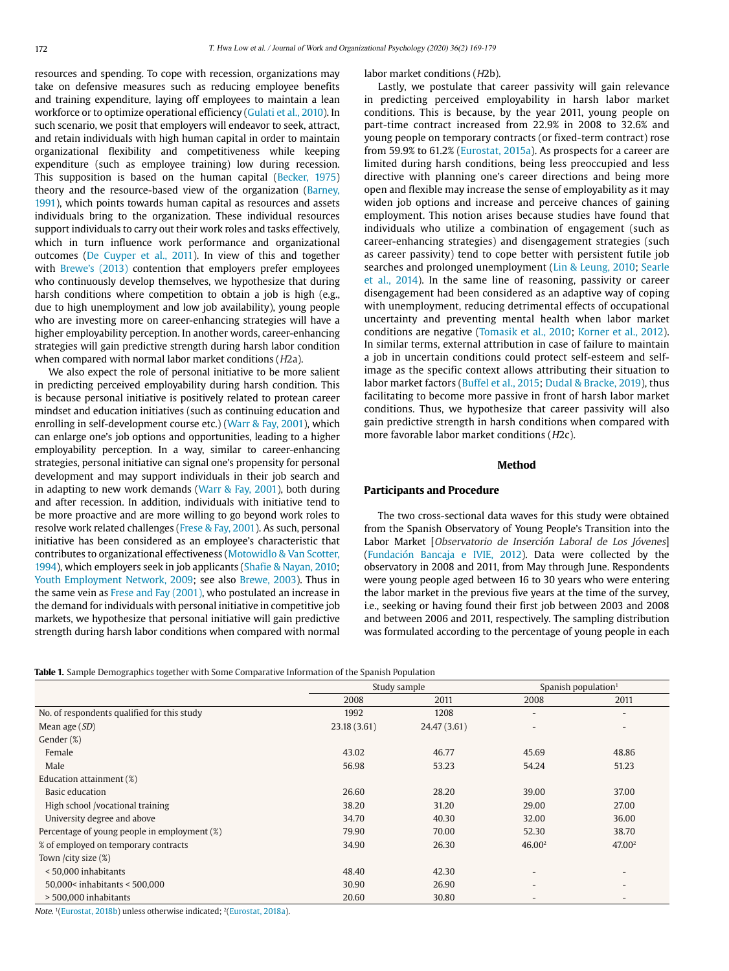resources and spending. To cope with recession, organizations may take on defensive measures such as reducing employee benefits and training expenditure, laying off employees to maintain a lean workforce or to optimize operational efficiency (Gulati et al., 2010). In such scenario, we posit that employers will endeavor to seek, attract, and retain individuals with high human capital in order to maintain organizational flexibility and competitiveness while keeping expenditure (such as employee training) low during recession. This supposition is based on the human capital (Becker, 1975) theory and the resource-based view of the organization (Barney, 1991), which points towards human capital as resources and assets individuals bring to the organization. These individual resources support individuals to carry out their work roles and tasks effectively, which in turn influence work performance and organizational outcomes (De Cuyper et al., 2011). In view of this and together with Brewe's (2013) contention that employers prefer employees who continuously develop themselves, we hypothesize that during harsh conditions where competition to obtain a job is high (e.g., due to high unemployment and low job availability), young people who are investing more on career-enhancing strategies will have a higher employability perception. In another words, career-enhancing strategies will gain predictive strength during harsh labor condition when compared with normal labor market conditions (H2a).

We also expect the role of personal initiative to be more salient in predicting perceived employability during harsh condition. This is because personal initiative is positively related to protean career mindset and education initiatives (such as continuing education and enrolling in self-development course etc.) (Warr & Fay, 2001), which can enlarge one's job options and opportunities, leading to a higher employability perception. In a way, similar to career-enhancing strategies, personal initiative can signal one's propensity for personal development and may support individuals in their job search and in adapting to new work demands (Warr & Fay, 2001), both during and after recession. In addition, individuals with initiative tend to be more proactive and are more willing to go beyond work roles to resolve work related challenges (Frese & Fay, 2001). As such, personal initiative has been considered as an employee's characteristic that contributes to organizational effectiveness (Motowidlo & Van Scotter, 1994), which employers seek in job applicants (Shafie & Nayan, 2010; Youth Employment Network, 2009; see also Brewe, 2003). Thus in the same vein as Frese and Fay (2001), who postulated an increase in the demand for individuals with personal initiative in competitive job markets, we hypothesize that personal initiative will gain predictive strength during harsh labor conditions when compared with normal labor market conditions (H2b).

Lastly, we postulate that career passivity will gain relevance in predicting perceived employability in harsh labor market conditions. This is because, by the year 2011, young people on part-time contract increased from 22.9% in 2008 to 32.6% and young people on temporary contracts (or fixed-term contract) rose from 59.9% to 61.2% (Eurostat, 2015a). As prospects for a career are limited during harsh conditions, being less preoccupied and less directive with planning one's career directions and being more open and flexible may increase the sense of employability as it may widen job options and increase and perceive chances of gaining employment. This notion arises because studies have found that individuals who utilize a combination of engagement (such as career-enhancing strategies) and disengagement strategies (such as career passivity) tend to cope better with persistent futile job searches and prolonged unemployment (Lin & Leung, 2010; Searle et al., 2014). In the same line of reasoning, passivity or career disengagement had been considered as an adaptive way of coping with unemployment, reducing detrimental effects of occupational uncertainty and preventing mental health when labor market conditions are negative (Tomasik et al., 2010; Korner et al., 2012). In similar terms, external attribution in case of failure to maintain a job in uncertain conditions could protect self-esteem and selfimage as the specific context allows attributing their situation to labor market factors (Buffel et al., 2015; Dudal & Bracke, 2019), thus facilitating to become more passive in front of harsh labor market conditions. Thus, we hypothesize that career passivity will also gain predictive strength in harsh conditions when compared with more favorable labor market conditions (H2c).

#### **Method**

#### **Participants and Procedure**

The two cross-sectional data waves for this study were obtained from the Spanish Observatory of Young People's Transition into the Labor Market [Observatorio de Inserción Laboral de Los Jóvenes] (Fundación Bancaja e IVIE, 2012). Data were collected by the observatory in 2008 and 2011, from May through June. Respondents were young people aged between 16 to 30 years who were entering the labor market in the previous five years at the time of the survey, i.e., seeking or having found their first job between 2003 and 2008 and between 2006 and 2011, respectively. The sampling distribution was formulated according to the percentage of young people in each

**Table 1.** Sample Demographics together with Some Comparative Information of the Spanish Population

|                                              |              | Study sample | Spanish population <sup>1</sup> |                          |  |
|----------------------------------------------|--------------|--------------|---------------------------------|--------------------------|--|
|                                              | 2008         | 2011         | 2008                            | 2011                     |  |
| No. of respondents qualified for this study  | 1992         | 1208         |                                 |                          |  |
| Mean age $(SD)$                              | 23.18 (3.61) | 24.47 (3.61) | $\overline{\phantom{0}}$        | $\overline{\phantom{a}}$ |  |
| Gender $(\%)$                                |              |              |                                 |                          |  |
| Female                                       | 43.02        | 46.77        | 45.69                           | 48.86                    |  |
| Male                                         | 56.98        | 53.23        | 54.24                           | 51.23                    |  |
| Education attainment (%)                     |              |              |                                 |                          |  |
| Basic education                              | 26.60        | 28.20        | 39.00                           | 37.00                    |  |
| High school /vocational training             | 38.20        | 31.20        | 29.00                           | 27.00                    |  |
| University degree and above                  | 34.70        | 40.30        | 32.00                           | 36.00                    |  |
| Percentage of young people in employment (%) | 79.90        | 70.00        | 52.30                           | 38.70                    |  |
| % of employed on temporary contracts         | 34.90        | 26.30        | 46.00 <sup>2</sup>              | 47.00 <sup>2</sup>       |  |
| Town /city size (%)                          |              |              |                                 |                          |  |
| < 50,000 inhabitants                         | 48.40        | 42.30        |                                 |                          |  |
| 50,000< inhabitants < 500,000                | 30.90        | 26.90        |                                 |                          |  |
| > 500,000 inhabitants                        | 20.60        | 30.80        | $\qquad \qquad \blacksquare$    | $\overline{\phantom{a}}$ |  |
|                                              |              |              |                                 |                          |  |

Note. 1(Eurostat, 2018b) unless otherwise indicated; 2(Eurostat, 2018a).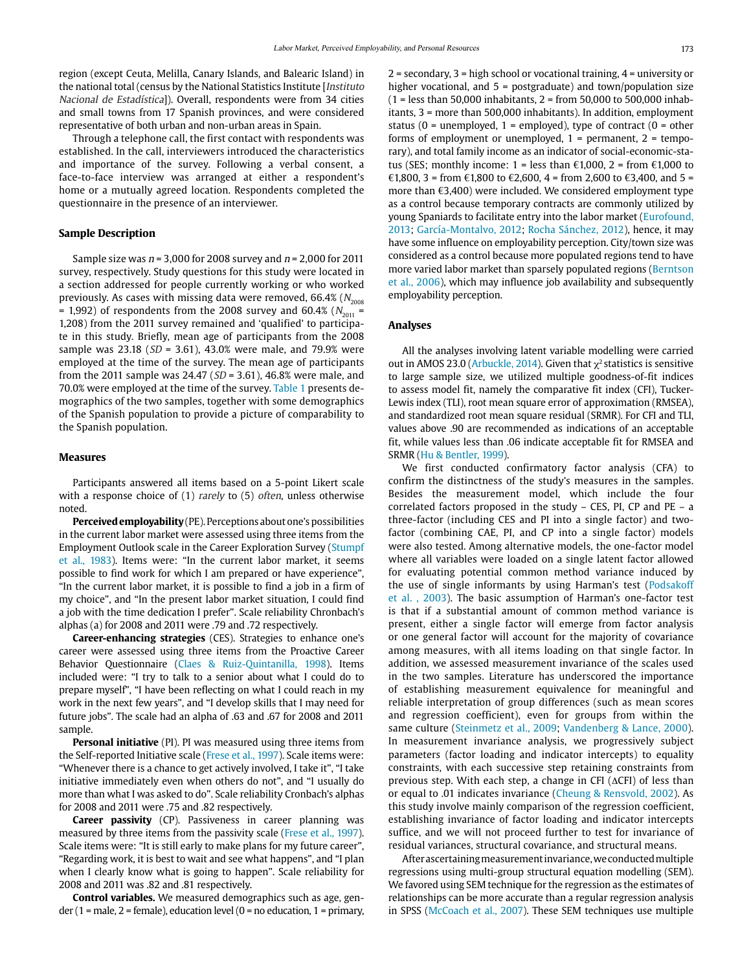region (except Ceuta, Melilla, Canary Islands, and Balearic Island) in the national total (census by the National Statistics Institute [Instituto Nacional de Estadística]). Overall, respondents were from 34 cities and small towns from 17 Spanish provinces, and were considered representative of both urban and non-urban areas in Spain.

Through a telephone call, the first contact with respondents was established. In the call, interviewers introduced the characteristics and importance of the survey. Following a verbal consent, a face-to-face interview was arranged at either a respondent's home or a mutually agreed location. Respondents completed the questionnaire in the presence of an interviewer.

## **Sample Description**

Sample size was  $n = 3,000$  for 2008 survey and  $n = 2,000$  for 2011 survey, respectively. Study questions for this study were located in a section addressed for people currently working or who worked previously. As cases with missing data were removed, 66.4%  $(N_{2008})$ = 1,992) of respondents from the 2008 survey and 60.4% ( $N_{2011}$  = 1,208) from the 2011 survey remained and 'qualified' to participate in this study. Briefly, mean age of participants from the 2008 sample was  $23.18$  (SD = 3.61), 43.0% were male, and 79.9% were employed at the time of the survey. The mean age of participants from the 2011 sample was 24.47 ( $SD = 3.61$ ), 46.8% were male, and 70.0% were employed at the time of the survey. Table 1 presents demographics of the two samples, together with some demographics of the Spanish population to provide a picture of comparability to the Spanish population.

#### **Measures**

Participants answered all items based on a 5-point Likert scale with a response choice of (1) rarely to (5) often, unless otherwise noted.

**Perceived employability** (PE). Perceptions about one's possibilities in the current labor market were assessed using three items from the Employment Outlook scale in the Career Exploration Survey (Stumpf et al., 1983). Items were: "In the current labor market, it seems possible to find work for which I am prepared or have experience", "In the current labor market, it is possible to find a job in a firm of my choice", and "In the present labor market situation, I could find a job with the time dedication I prefer". Scale reliability Chronbach's alphas (a) for 2008 and 2011 were .79 and .72 respectively.

**Career-enhancing strategies** (CES). Strategies to enhance one's career were assessed using three items from the Proactive Career Behavior Questionnaire (Claes & Ruiz-Quintanilla, 1998). Items included were: "I try to talk to a senior about what I could do to prepare myself", "I have been reflecting on what I could reach in my work in the next few years", and "I develop skills that I may need for future jobs". The scale had an alpha of .63 and .67 for 2008 and 2011 sample.

**Personal initiative** (PI). PI was measured using three items from the Self-reported Initiative scale (Frese et al., 1997). Scale items were: "Whenever there is a chance to get actively involved, I take it", "I take initiative immediately even when others do not", and "I usually do more than what I was asked to do". Scale reliability Cronbach's alphas for 2008 and 2011 were .75 and .82 respectively.

**Career passivity** (CP). Passiveness in career planning was measured by three items from the passivity scale (Frese et al., 1997). Scale items were: "It is still early to make plans for my future career", "Regarding work, it is best to wait and see what happens", and "I plan when I clearly know what is going to happen". Scale reliability for 2008 and 2011 was .82 and .81 respectively.

**Control variables.** We measured demographics such as age, gender (1 = male, 2 = female), education level (0 = no education, 1 = primary, 2 = secondary, 3 = high school or vocational training, 4 = university or higher vocational, and  $5 =$  postgraduate) and town/population size  $(1 =$  less than 50,000 inhabitants,  $2 =$  from 50,000 to 500,000 inhabitants, 3 = more than 500,000 inhabitants). In addition, employment status (0 = unemployed, 1 = employed), type of contract (0 = other forms of employment or unemployed,  $1$  = permanent,  $2$  = temporary), and total family income as an indicator of social-economic-status (SES; monthly income: 1 = less than  $\epsilon$ 1,000, 2 = from  $\epsilon$ 1,000 to €1,800, 3 = from €1,800 to €2,600, 4 = from 2,600 to €3,400, and 5 = more than €3,400) were included. We considered employment type as a control because temporary contracts are commonly utilized by young Spaniards to facilitate entry into the labor market (Eurofound, 2013; García-Montalvo, 2012; Rocha Sánchez, 2012), hence, it may have some influence on employability perception. City/town size was considered as a control because more populated regions tend to have more varied labor market than sparsely populated regions (Berntson et al., 2006), which may influence job availability and subsequently employability perception.

#### **Analyses**

All the analyses involving latent variable modelling were carried out in AMOS 23.0 (Arbuckle, 2014). Given that  $\chi^2$  statistics is sensitive to large sample size, we utilized multiple goodness-of-fit indices to assess model fit, namely the comparative fit index (CFI), Tucker-Lewis index (TLI), root mean square error of approximation (RMSEA), and standardized root mean square residual (SRMR). For CFI and TLI, values above .90 are recommended as indications of an acceptable fit, while values less than .06 indicate acceptable fit for RMSEA and SRMR (Hu & Bentler, 1999).

We first conducted confirmatory factor analysis (CFA) to confirm the distinctness of the study's measures in the samples. Besides the measurement model, which include the four correlated factors proposed in the study – CES, PI, CP and PE – a three-factor (including CES and PI into a single factor) and twofactor (combining CAE, PI, and CP into a single factor) models were also tested. Among alternative models, the one-factor model where all variables were loaded on a single latent factor allowed for evaluating potential common method variance induced by the use of single informants by using Harman's test (Podsakoff et al. , 2003). The basic assumption of Harman's one-factor test is that if a substantial amount of common method variance is present, either a single factor will emerge from factor analysis or one general factor will account for the majority of covariance among measures, with all items loading on that single factor. In addition, we assessed measurement invariance of the scales used in the two samples. Literature has underscored the importance of establishing measurement equivalence for meaningful and reliable interpretation of group differences (such as mean scores and regression coefficient), even for groups from within the same culture (Steinmetz et al., 2009; Vandenberg & Lance, 2000). In measurement invariance analysis, we progressively subject parameters (factor loading and indicator intercepts) to equality constraints, with each successive step retaining constraints from previous step. With each step, a change in CFI ( $\Delta$ CFI) of less than or equal to .01 indicates invariance (Cheung & Rensvold, 2002). As this study involve mainly comparison of the regression coefficient, establishing invariance of factor loading and indicator intercepts suffice, and we will not proceed further to test for invariance of residual variances, structural covariance, and structural means.

After ascertaining measurement invariance, we conducted multiple regressions using multi-group structural equation modelling (SEM). We favored using SEM technique for the regression as the estimates of relationships can be more accurate than a regular regression analysis in SPSS (McCoach et al., 2007). These SEM techniques use multiple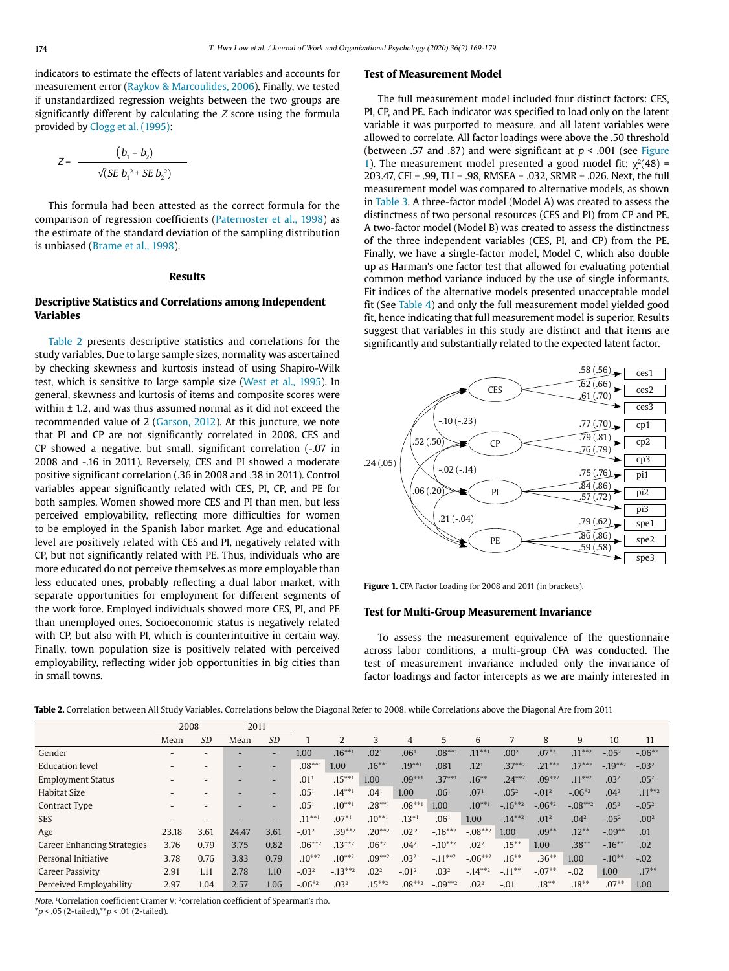indicators to estimate the effects of latent variables and accounts for measurement error (Raykov & Marcoulides, 2006). Finally, we tested if unstandardized regression weights between the two groups are significantly different by calculating the Z score using the formula provided by Clogg et al. (1995):

$$
Z = \frac{(b_1 - b_2)}{\sqrt{(SE b_1^2 + SE b_2^2)}}
$$

This formula had been attested as the correct formula for the comparison of regression coefficients (Paternoster et al., 1998) as the estimate of the standard deviation of the sampling distribution is unbiased (Brame et al., 1998).

#### **Results**

# **Descriptive Statistics and Correlations among Independent Variables**

Table 2 presents descriptive statistics and correlations for the study variables. Due to large sample sizes, normality was ascertained by checking skewness and kurtosis instead of using Shapiro-Wilk test, which is sensitive to large sample size (West et al., 1995). In general, skewness and kurtosis of items and composite scores were within ± 1.2, and was thus assumed normal as it did not exceed the recommended value of 2 (Garson, 2012). At this juncture, we note that PI and CP are not significantly correlated in 2008. CES and CP showed a negative, but small, significant correlation (-.07 in 2008 and -.16 in 2011). Reversely, CES and PI showed a moderate positive significant correlation (.36 in 2008 and .38 in 2011). Control variables appear significantly related with CES, PI, CP, and PE for both samples. Women showed more CES and PI than men, but less perceived employability, reflecting more difficulties for women to be employed in the Spanish labor market. Age and educational level are positively related with CES and PI, negatively related with CP, but not significantly related with PE. Thus, individuals who are more educated do not perceive themselves as more employable than less educated ones, probably reflecting a dual labor market, with separate opportunities for employment for different segments of the work force. Employed individuals showed more CES, PI, and PE than unemployed ones. Socioeconomic status is negatively related with CP, but also with PI, which is counterintuitive in certain way. Finally, town population size is positively related with perceived employability, reflecting wider job opportunities in big cities than in small towns.

#### **Test of Measurement Model**

The full measurement model included four distinct factors: CES, PI, CP, and PE. Each indicator was specified to load only on the latent variable it was purported to measure, and all latent variables were allowed to correlate. All factor loadings were above the .50 threshold (between .57 and .87) and were significant at  $p < .001$  (see Figure 1). The measurement model presented a good model fit:  $\chi^2(48)$  = 203.47, CFI = .99, TLI = .98, RMSEA = .032, SRMR = .026. Next, the full measurement model was compared to alternative models, as shown in Table 3. A three-factor model (Model A) was created to assess the distinctness of two personal resources (CES and PI) from CP and PE. A two-factor model (Model B) was created to assess the distinctness of the three independent variables (CES, PI, and CP) from the PE. Finally, we have a single-factor model, Model C, which also double up as Harman's one factor test that allowed for evaluating potential common method variance induced by the use of single informants. Fit indices of the alternative models presented unacceptable model fit (See Table 4) and only the full measurement model yielded good fit, hence indicating that full measurement model is superior. Results suggest that variables in this study are distinct and that items are significantly and substantially related to the expected latent factor.



Figure 1. CFA Factor Loading for 2008 and 2011 (in brackets).

#### **Test for Multi-Group Measurement Invariance**

To assess the measurement equivalence of the questionnaire across labor conditions, a multi-group CFA was conducted. The test of measurement invariance included only the invariance of factor loadings and factor intercepts as we are mainly interested in

| <b>Table 2.</b> Correlation between All Study Variables. Correlations below the Diagonal Refer to 2008, while Correlations above the Diagonal Are from 2011 |  |
|-------------------------------------------------------------------------------------------------------------------------------------------------------------|--|
|-------------------------------------------------------------------------------------------------------------------------------------------------------------|--|

|                                    | 2008  |                          | 2011  |                          |                  |                  |                  |                  |                  |                  |                  |                  |                  |                  |                  |
|------------------------------------|-------|--------------------------|-------|--------------------------|------------------|------------------|------------------|------------------|------------------|------------------|------------------|------------------|------------------|------------------|------------------|
|                                    | Mean  | <b>SD</b>                | Mean  | <b>SD</b>                |                  | 2                | 3                | 4                | 5                | 6                |                  | 8                | 9                | 10               | 11               |
| Gender                             |       |                          |       | -                        | 1.00             | $.16***1$        | .02 <sup>1</sup> | .06 <sup>1</sup> | $.08***1$        | $.11***1$        | .00 <sup>2</sup> | $.07^{*2}$       | $.11***2$        | $-.052$          | $-.06*2$         |
| <b>Education level</b>             |       |                          | -     | -                        | $.08***1$        | 1.00             | $.16***1$        | $.19***1$        | .081             | .12 <sup>1</sup> | $.37***2$        | $.21***2$        | $.17***2$        | $-19***2$        | $-.032$          |
| <b>Employment Status</b>           |       | $\overline{\phantom{a}}$ | -     | ٠                        | .01 <sup>1</sup> | $.15***1$        | 1.00             | $.09***1$        | $.37***1$        | $.16***$         | $.24***2$        | $.09***2$        | $.11***2$        | .03 <sup>2</sup> | .05 <sup>2</sup> |
| Habitat Size                       |       |                          |       | $\overline{\phantom{a}}$ | .05 <sup>1</sup> | $.14***1$        | .04 <sup>1</sup> | 1.00             | .06 <sup>1</sup> | .071             | .05 <sup>2</sup> | $-.012$          | $-.06*2$         | .04 <sup>2</sup> | $.11***2$        |
| Contract Type                      |       |                          |       | $\overline{\phantom{0}}$ | .05 <sup>1</sup> | $.10***1$        | $.28***1$        | $.08***$         | 1.00             | $.10***1$        | $-16***2$        | $-.06*2$         | $-.08***2$       | .05 <sup>2</sup> | $-.052$          |
| <b>SES</b>                         |       |                          | -     | $\qquad \qquad$          | $.11***1$        | $.07*1$          | $.10***1$        | $.13*1$          | .06 <sup>1</sup> | 1.00             | $-14***2$        | .01 <sup>2</sup> | .04 <sup>2</sup> | $-.052$          | .00 <sup>2</sup> |
| Age                                | 23.18 | 3.61                     | 24.47 | 3.61                     | $-.012$          | $.39***2$        | $.20***2$        | .02 <sup>2</sup> | $-16***2$        | $-.08***2$       | 1.00             | $.09***$         | $.12***$         | $-.09**$         | .01              |
| <b>Career Enhancing Strategies</b> | 3.76  | 0.79                     | 3.75  | 0.82                     | $.06***2$        | $.13***2$        | $.06*2$          | .04 <sup>2</sup> | $-.10***2$       | .02 <sup>2</sup> | $.15***$         | 1.00             | $.38***$         | $-16**$          | .02              |
| Personal Initiative                | 3.78  | 0.76                     | 3.83  | 0.79                     | $.10***2$        | $.10***2$        | $.09***2$        | .03 <sup>2</sup> | $-.11***2$       | $-.06***2$       | $.16***$         | $.36***$         | 1.00             | $-.10**$         | $-.02$           |
| <b>Career Passivity</b>            | 2.91  | 1.11                     | 2.78  | 1.10                     | $-.032$          | $-13***2$        | .02 <sup>2</sup> | $-.012$          | .03 <sup>2</sup> | $-14***2$        | $-.11***$        | $-.07**$         | $-.02$           | 1.00             | $.17***$         |
| Perceived Employability            | 2.97  | 1.04                     | 2.57  | 1.06                     | $-.06*2$         | .03 <sup>2</sup> | $.15***2$        | $.08***2$        | $-.09***2$       | .02 <sup>2</sup> | $-.01$           | $.18***$         | $.18***$         | $.07**$          | 1.00             |

Note. <sup>1</sup>Correlation coefficient Cramer V; <sup>2</sup>correlation coefficient of Spearman's rho.  $* p < .05$  (2-tailed), $* p < .01$  (2-tailed).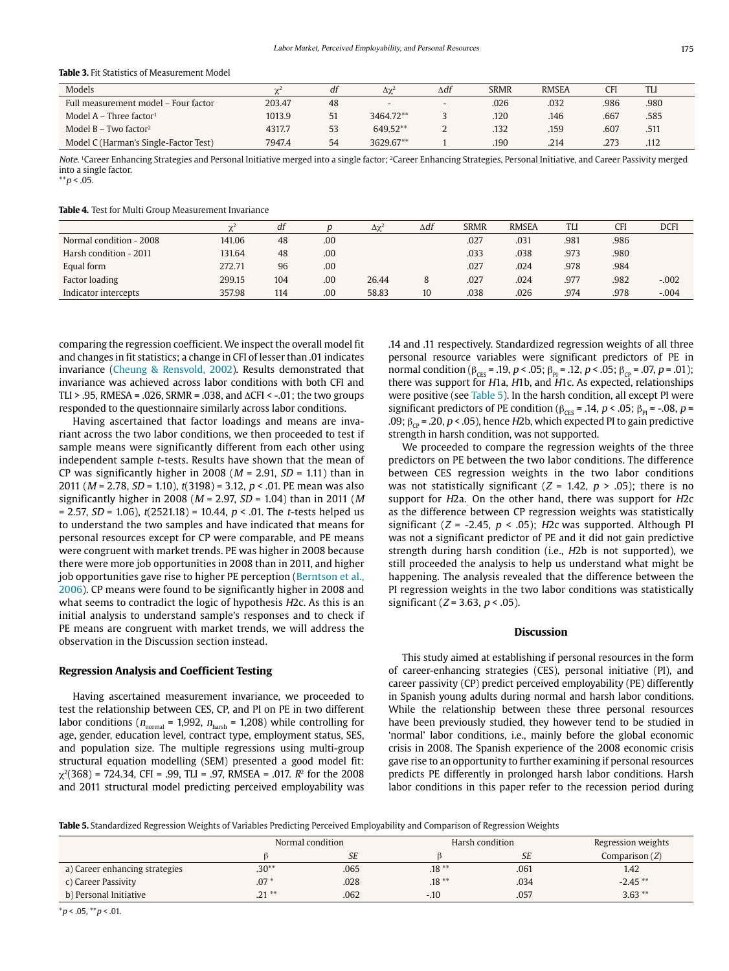#### **Table 3.** Fit Statistics of Measurement Model

| Models                                | n e L  | df | $\Delta\gamma^2$ | $\Delta df$              | <b>SRMR</b> | <b>RMSEA</b> | CFI  | <b>TLI</b> |  |
|---------------------------------------|--------|----|------------------|--------------------------|-------------|--------------|------|------------|--|
| Full measurement model - Four factor  | 203.47 | 48 | $\sim$           | $\overline{\phantom{0}}$ | .026        | .032         | .986 | .980       |  |
| Model $A$ – Three factor <sup>1</sup> | 1013.9 | 51 | 3464.72**        |                          | .120        | .146         | .667 | .585       |  |
| Model $B - Two factor2$               | 4317.7 | 53 | 649.52**         |                          | .132        | .159         | .607 | .511       |  |
| Model C (Harman's Single-Factor Test) | 7947.4 | 54 | 3629.67**        |                          | .190        | .214         | .273 | .112       |  |

Note. 1Career Enhancing Strategies and Personal Initiative merged into a single factor; 2Career Enhancing Strategies, Personal Initiative, and Career Passivity merged into a single factor.

 $*$  $p$  < .05.

**Table 4.** Test for Multi Group Measurement Invariance

|                         | $\gamma$ | df  |     | $\Delta\chi^2$ | $\Delta df$ | <b>SRMR</b> | <b>RMSEA</b> | TLI  | <b>CFI</b> | <b>DCFI</b> |
|-------------------------|----------|-----|-----|----------------|-------------|-------------|--------------|------|------------|-------------|
| Normal condition - 2008 | 141.06   | 48  | .00 |                |             | .027        | .031         | .981 | .986       |             |
| Harsh condition - 2011  | 131.64   | 48  | .00 |                |             | .033        | .038         | .973 | .980       |             |
| Equal form              | 272.71   | 96  | .00 |                |             | .027        | .024         | .978 | .984       |             |
| Factor loading          | 299.15   | 104 | .00 | 26.44          |             | .027        | .024         | .977 | .982       | $-.002$     |
| Indicator intercepts    | 357.98   | 114 | .00 | 58.83          | 10          | .038        | .026         | .974 | .978       | $-.004$     |

comparing the regression coefficient. We inspect the overall model fit and changes in fit statistics; a change in CFI of lesser than .01 indicates invariance (Cheung & Rensvold, 2002). Results demonstrated that invariance was achieved across labor conditions with both CFI and TLI > .95, RMESA = .026, SRMR = .038, and  $\triangle CFI$  < -.01; the two groups responded to the questionnaire similarly across labor conditions.

Having ascertained that factor loadings and means are invariant across the two labor conditions, we then proceeded to test if sample means were significantly different from each other using independent sample t-tests. Results have shown that the mean of CP was significantly higher in 2008 ( $M = 2.91$ ,  $SD = 1.11$ ) than in 2011 ( $M = 2.78$ ,  $SD = 1.10$ ),  $t(3198) = 3.12$ ,  $p < .01$ . PE mean was also significantly higher in 2008 ( $M = 2.97$ ,  $SD = 1.04$ ) than in 2011 ( $M$ = 2.57,  $SD = 1.06$ ),  $t(2521.18) = 10.44$ ,  $p < .01$ . The *t*-tests helped us to understand the two samples and have indicated that means for personal resources except for CP were comparable, and PE means were congruent with market trends. PE was higher in 2008 because there were more job opportunities in 2008 than in 2011, and higher job opportunities gave rise to higher PE perception (Berntson et al., 2006). CP means were found to be significantly higher in 2008 and what seems to contradict the logic of hypothesis H2c. As this is an initial analysis to understand sample's responses and to check if PE means are congruent with market trends, we will address the observation in the Discussion section instead.

#### **Regression Analysis and Coefficient Testing**

Having ascertained measurement invariance, we proceeded to test the relationship between CES, CP, and PI on PE in two different labor conditions ( $n_{\text{normal}} = 1,992$ ,  $n_{\text{harsh}} = 1,208$ ) while controlling for age, gender, education level, contract type, employment status, SES, and population size. The multiple regressions using multi-group structural equation modelling (SEM) presented a good model fit:  $\gamma^2(368)$  = 724.34, CFI = .99, TLI = .97, RMSEA = .017,  $R^2$  for the 2008 and 2011 structural model predicting perceived employability was .14 and .11 respectively. Standardized regression weights of all three personal resource variables were significant predictors of PE in normal condition ( $β<sub>CES</sub> = .19, p < .05$ ;  $β<sub>PI</sub> = .12, p < .05$ ;  $β<sub>CP</sub> = .07, p = .01$ ); there was support for H1a, H1b, and H1c. As expected, relationships were positive (see Table 5). In the harsh condition, all except PI were significant predictors of PE condition ( $\beta_{CES}$  = .14, p < .05;  $\beta_{Pl}$  = -.08, p = .09;  $β_{cp} = .20$ ,  $p < .05$ ), hence H2b, which expected PI to gain predictive strength in harsh condition, was not supported.

We proceeded to compare the regression weights of the three predictors on PE between the two labor conditions. The difference between CES regression weights in the two labor conditions was not statistically significant ( $Z = 1.42$ ,  $p > .05$ ); there is no support for  $H2a$ . On the other hand, there was support for  $H2c$ as the difference between CP regression weights was statistically significant ( $Z = -2.45$ ,  $p < .05$ ); H2c was supported. Although PI was not a significant predictor of PE and it did not gain predictive strength during harsh condition (i.e., H2b is not supported), we still proceeded the analysis to help us understand what might be happening. The analysis revealed that the difference between the PI regression weights in the two labor conditions was statistically significant ( $Z = 3.63$ ,  $p < .05$ ).

#### **Discussion**

This study aimed at establishing if personal resources in the form of career-enhancing strategies (CES), personal initiative (PI), and career passivity (CP) predict perceived employability (PE) differently in Spanish young adults during normal and harsh labor conditions. While the relationship between these three personal resources have been previously studied, they however tend to be studied in 'normal' labor conditions, i.e., mainly before the global economic crisis in 2008. The Spanish experience of the 2008 economic crisis gave rise to an opportunity to further examining if personal resources predicts PE differently in prolonged harsh labor conditions. Harsh labor conditions in this paper refer to the recession period during

**Table 5.** Standardized Regression Weights of Variables Predicting Perceived Employability and Comparison of Regression Weights

|                                |          | Normal condition | Harsh condition |           | Regression weights |
|--------------------------------|----------|------------------|-----------------|-----------|--------------------|
|                                |          | <b>SE</b>        |                 | <b>SE</b> | Comparison $(Z)$   |
| a) Career enhancing strategies | $.30**$  | .065             | $.18***$        | .061      | 1.42               |
| c) Career Passivity            | $.07*$   | .028             | $.18***$        | .034      | $-2.45**$          |
| b) Personal Initiative         | $.21***$ | .062             | $-.10$          | .057      | $3.63***$          |

 $*_{p}$  < .05,  $*_{p}$  < .01.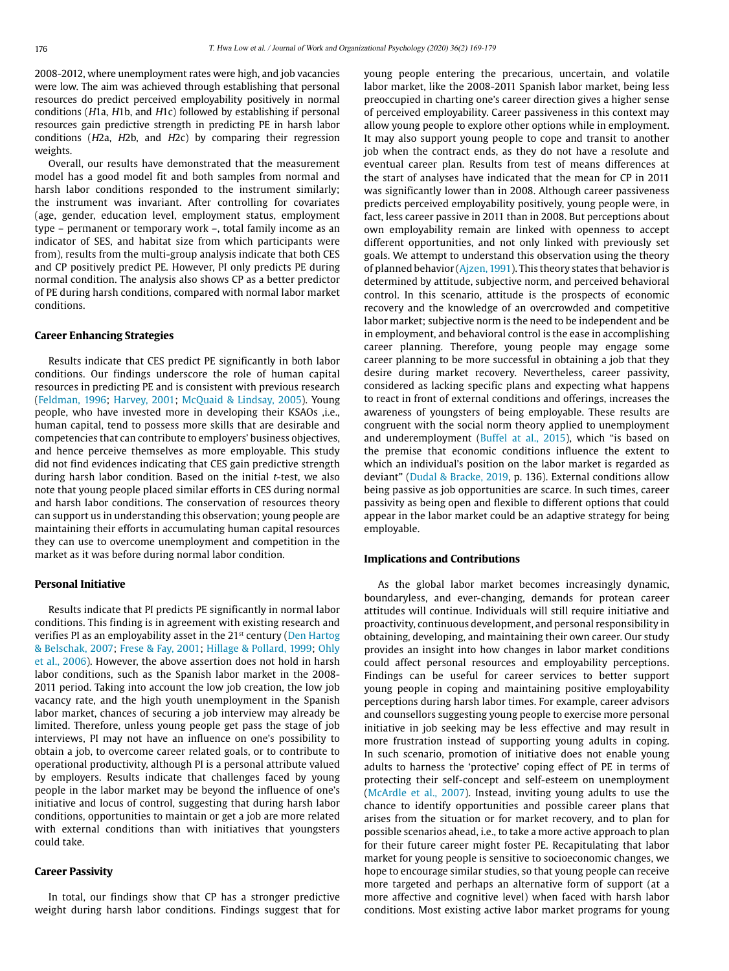2008-2012, where unemployment rates were high, and job vacancies were low. The aim was achieved through establishing that personal resources do predict perceived employability positively in normal conditions (H1a, H1b, and H1c) followed by establishing if personal resources gain predictive strength in predicting PE in harsh labor conditions (H2a, H2b, and H2c) by comparing their regression weights.

Overall, our results have demonstrated that the measurement model has a good model fit and both samples from normal and harsh labor conditions responded to the instrument similarly; the instrument was invariant. After controlling for covariates (age, gender, education level, employment status, employment type – permanent or temporary work –, total family income as an indicator of SES, and habitat size from which participants were from), results from the multi-group analysis indicate that both CES and CP positively predict PE. However, PI only predicts PE during normal condition. The analysis also shows CP as a better predictor of PE during harsh conditions, compared with normal labor market conditions.

#### **Career Enhancing Strategies**

Results indicate that CES predict PE significantly in both labor conditions. Our findings underscore the role of human capital resources in predicting PE and is consistent with previous research (Feldman, 1996; Harvey, 2001; McQuaid & Lindsay, 2005). Young people, who have invested more in developing their KSAOs ,i.e., human capital, tend to possess more skills that are desirable and competencies that can contribute to employers' business objectives, and hence perceive themselves as more employable. This study did not find evidences indicating that CES gain predictive strength during harsh labor condition. Based on the initial  $t$ -test, we also note that young people placed similar efforts in CES during normal and harsh labor conditions. The conservation of resources theory can support us in understanding this observation; young people are maintaining their efforts in accumulating human capital resources they can use to overcome unemployment and competition in the market as it was before during normal labor condition.

#### **Personal Initiative**

Results indicate that PI predicts PE significantly in normal labor conditions. This finding is in agreement with existing research and verifies PI as an employability asset in the 21<sup>st</sup> century (Den Hartog & Belschak, 2007; Frese & Fay, 2001; Hillage & Pollard, 1999; Ohly et al., 2006). However, the above assertion does not hold in harsh labor conditions, such as the Spanish labor market in the 2008- 2011 period. Taking into account the low job creation, the low job vacancy rate, and the high youth unemployment in the Spanish labor market, chances of securing a job interview may already be limited. Therefore, unless young people get pass the stage of job interviews, PI may not have an influence on one's possibility to obtain a job, to overcome career related goals, or to contribute to operational productivity, although PI is a personal attribute valued by employers. Results indicate that challenges faced by young people in the labor market may be beyond the influence of one's initiative and locus of control, suggesting that during harsh labor conditions, opportunities to maintain or get a job are more related with external conditions than with initiatives that youngsters could take.

#### **Career Passivity**

In total, our findings show that CP has a stronger predictive weight during harsh labor conditions. Findings suggest that for young people entering the precarious, uncertain, and volatile labor market, like the 2008-2011 Spanish labor market, being less preoccupied in charting one's career direction gives a higher sense of perceived employability. Career passiveness in this context may allow young people to explore other options while in employment. It may also support young people to cope and transit to another job when the contract ends, as they do not have a resolute and eventual career plan. Results from test of means differences at the start of analyses have indicated that the mean for CP in 2011 was significantly lower than in 2008. Although career passiveness predicts perceived employability positively, young people were, in fact, less career passive in 2011 than in 2008. But perceptions about own employability remain are linked with openness to accept different opportunities, and not only linked with previously set goals. We attempt to understand this observation using the theory of planned behavior (Ajzen, 1991). This theory states that behavior is determined by attitude, subjective norm, and perceived behavioral control. In this scenario, attitude is the prospects of economic recovery and the knowledge of an overcrowded and competitive labor market; subjective norm is the need to be independent and be in employment, and behavioral control is the ease in accomplishing career planning. Therefore, young people may engage some career planning to be more successful in obtaining a job that they desire during market recovery. Nevertheless, career passivity, considered as lacking specific plans and expecting what happens to react in front of external conditions and offerings, increases the awareness of youngsters of being employable. These results are congruent with the social norm theory applied to unemployment and underemployment (Buffel at al., 2015), which "is based on the premise that economic conditions influence the extent to which an individual's position on the labor market is regarded as deviant" (Dudal & Bracke, 2019, p. 136). External conditions allow being passive as job opportunities are scarce. In such times, career passivity as being open and flexible to different options that could appear in the labor market could be an adaptive strategy for being employable.

#### **Implications and Contributions**

As the global labor market becomes increasingly dynamic, boundaryless, and ever-changing, demands for protean career attitudes will continue. Individuals will still require initiative and proactivity, continuous development, and personal responsibility in obtaining, developing, and maintaining their own career. Our study provides an insight into how changes in labor market conditions could affect personal resources and employability perceptions. Findings can be useful for career services to better support young people in coping and maintaining positive employability perceptions during harsh labor times. For example, career advisors and counsellors suggesting young people to exercise more personal initiative in job seeking may be less effective and may result in more frustration instead of supporting young adults in coping. In such scenario, promotion of initiative does not enable young adults to harness the 'protective' coping effect of PE in terms of protecting their self-concept and self-esteem on unemployment (McArdle et al., 2007). Instead, inviting young adults to use the chance to identify opportunities and possible career plans that arises from the situation or for market recovery, and to plan for possible scenarios ahead, i.e., to take a more active approach to plan for their future career might foster PE. Recapitulating that labor market for young people is sensitive to socioeconomic changes, we hope to encourage similar studies, so that young people can receive more targeted and perhaps an alternative form of support (at a more affective and cognitive level) when faced with harsh labor conditions. Most existing active labor market programs for young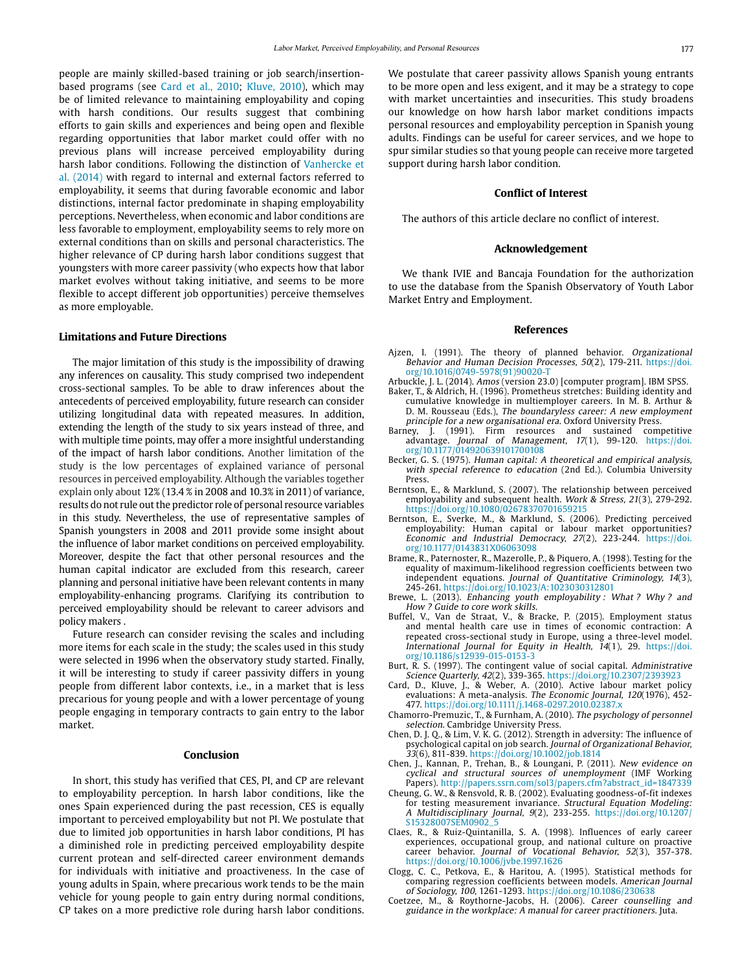people are mainly skilled-based training or job search/insertionbased programs (see Card et al., 2010; Kluve, 2010), which may be of limited relevance to maintaining employability and coping with harsh conditions. Our results suggest that combining efforts to gain skills and experiences and being open and flexible regarding opportunities that labor market could offer with no previous plans will increase perceived employability during harsh labor conditions. Following the distinction of Vanhercke et al. (2014) with regard to internal and external factors referred to employability, it seems that during favorable economic and labor distinctions, internal factor predominate in shaping employability perceptions. Nevertheless, when economic and labor conditions are less favorable to employment, employability seems to rely more on external conditions than on skills and personal characteristics. The higher relevance of CP during harsh labor conditions suggest that youngsters with more career passivity (who expects how that labor market evolves without taking initiative, and seems to be more flexible to accept different job opportunities) perceive themselves as more employable.

#### **Limitations and Future Directions**

The major limitation of this study is the impossibility of drawing any inferences on causality. This study comprised two independent cross-sectional samples. To be able to draw inferences about the antecedents of perceived employability, future research can consider utilizing longitudinal data with repeated measures. In addition, extending the length of the study to six years instead of three, and with multiple time points, may offer a more insightful understanding of the impact of harsh labor conditions. Another limitation of the study is the low percentages of explained variance of personal resources in perceived employability. Although the variables together explain only about 12% (13.4 % in 2008 and 10.3% in 2011) of variance, results do not rule out the predictor role of personal resource variables in this study. Nevertheless, the use of representative samples of Spanish youngsters in 2008 and 2011 provide some insight about the influence of labor market conditions on perceived employability. Moreover, despite the fact that other personal resources and the human capital indicator are excluded from this research, career planning and personal initiative have been relevant contents in many employability-enhancing programs. Clarifying its contribution to perceived employability should be relevant to career advisors and policy makers .

Future research can consider revising the scales and including more items for each scale in the study; the scales used in this study were selected in 1996 when the observatory study started. Finally, it will be interesting to study if career passivity differs in young people from different labor contexts, i.e., in a market that is less precarious for young people and with a lower percentage of young people engaging in temporary contracts to gain entry to the labor market.

#### **Conclusion**

In short, this study has verified that CES, PI, and CP are relevant to employability perception. In harsh labor conditions, like the ones Spain experienced during the past recession, CES is equally important to perceived employability but not PI. We postulate that due to limited job opportunities in harsh labor conditions, PI has a diminished role in predicting perceived employability despite current protean and self-directed career environment demands for individuals with initiative and proactiveness. In the case of young adults in Spain, where precarious work tends to be the main vehicle for young people to gain entry during normal conditions, CP takes on a more predictive role during harsh labor conditions.

We postulate that career passivity allows Spanish young entrants to be more open and less exigent, and it may be a strategy to cope with market uncertainties and insecurities. This study broadens our knowledge on how harsh labor market conditions impacts personal resources and employability perception in Spanish young adults. Findings can be useful for career services, and we hope to spur similar studies so that young people can receive more targeted support during harsh labor condition.

#### **Conflict of Interest**

The authors of this article declare no conflict of interest.

#### **Acknowledgement**

We thank IVIE and Bancaja Foundation for the authorization to use the database from the Spanish Observatory of Youth Labor Market Entry and Employment.

#### **References**

- Ajzen, I. (1991). The theory of planned behavior. Organizational Behavior and Human Decision Processes, 50(2), 179-211. [https://doi.](https://doi.org/10.1016/0749-5978(91)90020-T) [org/10.1016/0749-5978\(91\)90020-T](https://doi.org/10.1016/0749-5978(91)90020-T)
- Arbuckle, J. L. (2014). Amos (version 23.0) [computer program]. IBM SPSS. Baker, T., & Aldrich, H. (1996). Prometheus stretches: Building identity and
- cumulative knowledge in multiemployer careers. In M. B. Arthur & D. M. Rousseau (Eds.), The boundaryless career: A new employment principle for a new organisational era. Oxford University Press.
- Barney, J. (1991). Firm resources and sustained competitive advantage. Journal of Management, 17(1), 99-120. [https://doi.](https://doi.org/10.1177/014920639101700108) [org/10.1177/014920639101700108](https://doi.org/10.1177/014920639101700108)
- Becker, G. S. (1975). Human capital: A theoretical and empirical analysis, with special reference to education (2nd Ed.). Columbia University Press.
- Berntson, E., & Marklund, S. (2007). The relationship between perceived employability and subsequent health. Work & Stress, 21(3), 279-292. https://doi.org/10.1080/02678370701659215
- Berntson, E., Sverke, M., & Marklund, S. (2006). Predicting perceived employability: Human capital or labour market opportunities? Economic and Industrial Democracy, 27(2), 223-244. [https://doi.](https://doi.org/10.1177/0143831X06063098) [org/10.1177/0143831X06063098](https://doi.org/10.1177/0143831X06063098)
- Brame, R., Paternoster, R., Mazerolle, P., & Piquero, A. (1998). Testing for the equality of maximum-likelihood regression coefficients between two independent equations. Journal of Quantitative Criminology, 14(3), 245-261. https://doi.org/10.1023/A:1023030312801
- Brewe, L. (2013). Enhancing youth employability : What ? Why ? and How ? Guide to core work skills.
- Buffel, V., Van de Straat, V., & Bracke, P. (2015). Employment status and mental health care use in times of economic contraction: A repeated cross-sectional study in Europe, using a three-level model. International Journal for Equity in Health, 14(1), 29. [https://doi.](https://doi.org/10.1186/s12939-015-0153-3) [org/10.1186/s12939-015-0153-3](https://doi.org/10.1186/s12939-015-0153-3)
- Burt, R. S. (1997). The contingent value of social capital. Administrative Science Quarterly, 42(2), 339-365. https://doi.org/10.2307/2393923
- Card, D., Kluve, J., & Weber, A. (2010). Active labour market policy evaluations: A meta-analysis. The Economic Journal, 120(1976), 452- 477. https://doi.org/10.1111/j.1468-0297.2010.02387.x
- Chamorro-Premuzic, T., & Furnham, A. (2010). The psychology of personnel selection. Cambridge University Press.
- Chen, D. J. Q., & Lim, V. K. G. (2012). Strength in adversity: The influence of psychological capital on job search. Journal of Organizational Behavior, 33(6), 811-839. https://doi.org/10.1002/job.1814
- Chen, J., Kannan, P., Trehan, B., & Loungani, P. (2011). New evidence on cyclical and structural sources of unemployment (IMF Working Papers). http://papers.ssrn.com/sol3/papers.cfm?abstract\_id=1847339
- Cheung, G. W., & Rensvold, R. B. (2002). Evaluating goodness-of-fit indexes for testing measurement invariance. Structural Equation Modeling: A Multidisciplinary Journal, 9(2), 233-255. [https://doi.org/10.1207/](https://doi.org/10.1207/S15328007SEM0902_5) [S15328007SEM0902\\_5](https://doi.org/10.1207/S15328007SEM0902_5)
- Claes, R., & Ruiz-Quintanilla, S. A. (1998). Influences of early career experiences, occupational group, and national culture on proactive career behavior. Journal of Vocational Behavior, 52(3), 357-378. https://doi.org/10.1006/jvbe.1997.1626
- Clogg, C. C., Petkova, E., & Haritou, A. (1995). Statistical methods for comparing regression coefficients between models. American Journal of Sociology, 100, 1261-1293. https://doi.org/10.1086/230638
- Coetzee, M., & Roythorne-Jacobs, H. (2006). Career counselling and guidance in the workplace: A manual for career practitioners. Juta.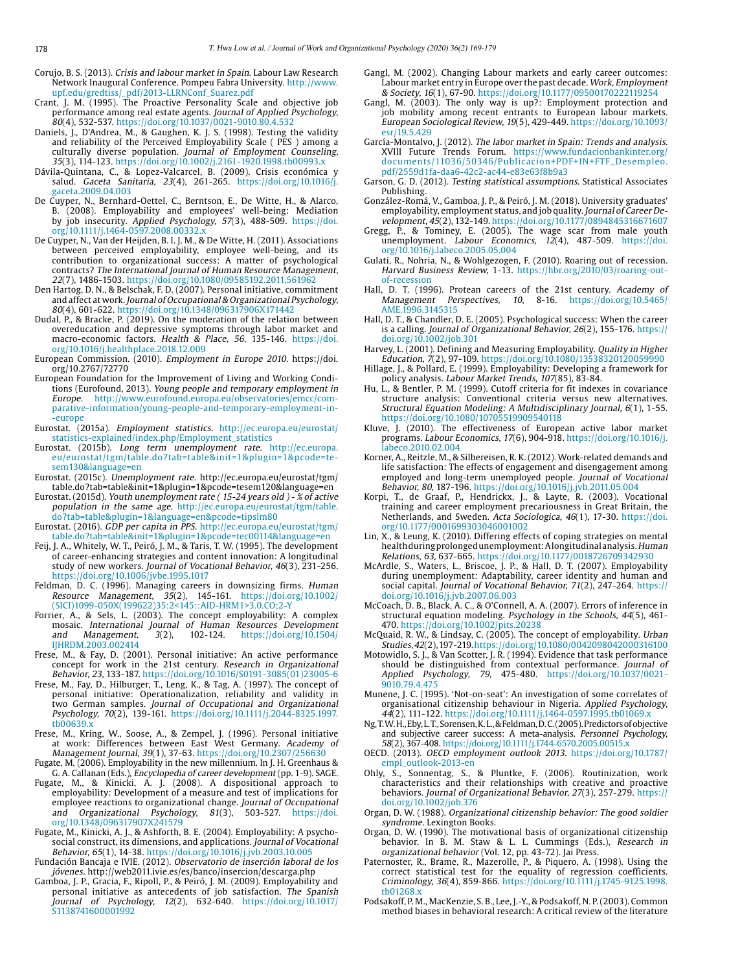- Corujo, B. S. (2013). Crisis and labour market in Spain. Labour Law Research Network Inaugural Conference. Pompeu Fabra University. [http://www.](http://www.upf.edu/gredtiss/_pdf/2013-LLRNConf_Suarez.pdf) [upf.edu/gredtiss/\\_pdf/2013-LLRNConf\\_Suarez.pdf](http://www.upf.edu/gredtiss/_pdf/2013-LLRNConf_Suarez.pdf)
- Crant, J. M. (1995). The Proactive Personality Scale and objective job performance among real estate agents. Journal of Applied Psychology, 80(4), 532-537. https://doi.org/10.1037/0021-9010.80.4.532
- Daniels, J., D'Andrea, M., & Gaughen, K. J. S. (1998). Testing the validity and reliability of the Perceived Employability Scale ( PES ) among a culturally diverse population. Journal of Employment Counseling, 35(3), 114-123. https://doi.org/10.1002/j.2161-1920.1998.tb00993.x
- Dávila-Quintana, C., & Lopez-Valcarcel, B. (2009). Crisis económica y salud. Gaceta Sanitaria, 23(4), 261-265. [https://doi.org/10.1016/j.](https://doi.org/10.1016/j.gaceta.2009.04.003) [gaceta.2009.04.003](https://doi.org/10.1016/j.gaceta.2009.04.003)
- De Cuyper, N., Bernhard-Oettel, C., Berntson, E., De Witte, H., & Alarco, B. (2008). Employability and employees' well-being: Mediation by job insecurity. *Applied Psychology, 57*(3), 488-509. [https://doi.](https://doi.org/10.1111/j.1464-0597.2008.00332.x) [org/10.1111/j.1464-0597.2008.00332.x](https://doi.org/10.1111/j.1464-0597.2008.00332.x)
- De Cuyper, N., Van der Heijden, B. I. J. M., & De Witte, H. (2011). Associations between perceived employability, employee well-being, and its contribution to organizational success: A matter of psychological contracts? The International Journal of Human Resource Management, 22(7), 1486-1503. https://doi.org/10.1080/09585192.2011.561962
- Den Hartog, D. N., & Belschak, F. D. (2007). Personal initiative, commitment and affect at work. Journal of Occupational & Organizational Psychology, 80(4), 601-622. https://doi.org/10.1348/096317906X171442
- Dudal, P., & Bracke, P. (2019). On the moderation of the relation between overeducation and depressive symptoms through labor market and macro-economic factors. Health & Place, 56, 135-146. [https://doi.](https://doi.org/10.1016/j.healthplace.2018.12.009) [org/10.1016/j.healthplace.2018.12.009](https://doi.org/10.1016/j.healthplace.2018.12.009)
- European Commission. (2010). Employment in Europe 2010. https://doi. org/10.2767/72770
- European Foundation for the Improvement of Living and Working Conditions (Eurofound, 2013). Young people and temporary employment in Europe. [http://www.eurofound.europa.eu/observatories/emcc/com](http://www.eurofound.europa.eu/observatories/emcc/comparative-information/young-people-and-temporary-employment-in-europe)[parative-information/young-people-and-temporary-employment-in-](http://www.eurofound.europa.eu/observatories/emcc/comparative-information/young-people-and-temporary-employment-in-europe) [-europe](http://www.eurofound.europa.eu/observatories/emcc/comparative-information/young-people-and-temporary-employment-in-europe)
- Eurostat. (2015a). Employment statistics. [http://ec.europa.eu/eurostat/](http://ec.europa.eu/eurostat/statistics-explained/index.php/Employment_statistics) [statistics-explained/index.php/Employment\\_statistics](http://ec.europa.eu/eurostat/statistics-explained/index.php/Employment_statistics)
- Eurostat. (2015b). Long term unemployment rate. [http://ec.europa.](http://ec.europa.eu/eurostat/tgm/table.do?tab=table&init=1&plugin=1&pcode=tesem130&language=en) [eu/eurostat/tgm/table.do?tab=table&init=1&plugin=1&pcode=te](http://ec.europa.eu/eurostat/tgm/table.do?tab=table&init=1&plugin=1&pcode=tesem130&language=en)[sem130&language=en](http://ec.europa.eu/eurostat/tgm/table.do?tab=table&init=1&plugin=1&pcode=tesem130&language=en)
- Eurostat. (2015c). Unemployment rate. http://ec.europa.eu/eurostat/tgm/ table.do?tab=table&init=1&plugin=1&pcode=tesem120&language=en
- Eurostat. (2015d). Youth unemployment rate ( 15-24 years old ) % of active population in the same age. [http://ec.europa.eu/eurostat/tgm/table.](http://ec.europa.eu/eurostat/tgm/table.do?tab=table&plugin=1&language=en&pcode=tipslm80) [do?tab=table&plugin=1&language=en&pcode=tipslm80](http://ec.europa.eu/eurostat/tgm/table.do?tab=table&plugin=1&language=en&pcode=tipslm80)
- Eurostat. (2016). GDP per capita in PPS. [http://ec.europa.eu/eurostat/tgm/](http://ec.europa.eu/eurostat/tgm/table.do?tab=table&init=1&plugin=1&pcode=tec00114&language=en) [table.do?tab=table&init=1&plugin=1&pcode=tec00114&language=en](http://ec.europa.eu/eurostat/tgm/table.do?tab=table&init=1&plugin=1&pcode=tec00114&language=en)
- Feij, J. A., Whitely, W. T., Peiró, J. M., & Taris, T. W. (1995). The development of career-enhancing strategies and content innovation: A longitudinal study of new workers. Journal of Vocational Behavior, 46(3), 231-256. https://doi.org/10.1006/jvbe.1995.1017
- Feldman, D. C. (1996). Managing careers in downsizing firms. Human Resource Management, 35(2), 145-161. [https://doi.org/10.1002/](https://doi.org/10.1002/(SICI)1099-050X(199622)35:2<145::AID-HRM1>3.0.CO;2-Y) [\(SICI\)1099-050X\(199622\)35:2<145::AID-HRM1>3.0.CO;2-Y](https://doi.org/10.1002/(SICI)1099-050X(199622)35:2<145::AID-HRM1>3.0.CO;2-Y)
- Forrier, A., & Sels, L. (2003). The concept employability: A complex mosaic. International Journal of Human Resources Development and Management, 3(2), 102-124. [https://doi.org/10.1504/](https://doi.org/10.1504/IJHRDM.2003.002414) [IJHRDM.2003.002414](https://doi.org/10.1504/IJHRDM.2003.002414)
- Frese, M., & Fay, D. (2001). Personal initiative: An active performance concept for work in the 21st century. Research in Organizational Behavior, 23, 133-187. [https://doi.org/10.1016/S0191-3085\(01\)23005-6](https://doi.org/10.1016/S0191-3085(01)23005-6)
- Frese, M., Fay, D., Hilburger, T., Leng, K., & Tag, A. (1997). The concept of personal initiative: Operationalization, reliability and validity in two German samples. Journal of Occupational and Organizational Psychology, 70(2), 139-161. [https://doi.org/10.1111/j.2044-8325.1997.](https://doi.org/10.1111/j.2044-8325.1997.tb00639.x) tb00639.
- Frese, M., Kring, W., Soose, A., & Zempel, J. (1996). Personal initiative at work: Differences between East West Germany. *Academy of* Management Journal, 39(1), 37-63. https://doi.org/10.2307/256630
- Fugate, M. (2006). Employability in the new millennium. In J. H. Greenhaus & G. A. Callanan (Eds.), Encyclopedia of career development (pp. 1-9). SAGE.
- Fugate, M., & Kinicki, A. J. (2008). A dispositional approach to employability: Development of a measure and test of implications for employee reactions to organizational change. Journal of Occupational and Organizational Psychology, 81(3), 503-527. [https://doi.](https://doi.org/10.1348/096317907X241579) [org/10.1348/096317907X241579](https://doi.org/10.1348/096317907X241579)
- Fugate, M., Kinicki, A. J., & Ashforth, B. E. (2004). Employability: A psychosocial construct, its dimensions, and applications. Journal of Vocational Behavior, 65(1), 14-38. https://doi.org/10.1016/j.jvb.2003.10.005
- Fundación Bancaja e IVIE. (2012). Observatorio de inserción laboral de los jóvenes. http://web2011.ivie.es/es/banco/insercion/descarga.php
- Gamboa, J. P., Gracia, F., Ripoll, P., & Peiró, J. M. (2009). Employability and personal initiative as antecedents of job satisfaction. The Spanish Journal of Psychology, 12(2), 632-640. [https://doi.org/10.1017/](https://doi.org/10.1017/S1138741600001992) [S1138741600001992](https://doi.org/10.1017/S1138741600001992)
- Gangl, M. (2002). Changing Labour markets and early career outcomes: Labour market entry in Europe over the past decade. Work, Employment & Society, 16(1), 67-90. https://doi.org/10.1177/09500170222119254
- Gangl, M. (2003). The only way is up?: Employment protection and job mobility among recent entrants to European labour markets. European Sociological Review, 19(5), 429-449. [https://doi.org/10.1093/](https://doi.org/10.1093/esr/19.5.429) [esr/19.5.429](https://doi.org/10.1093/esr/19.5.429)
- García-Montalvo, J. (2012). The labor market in Spain: Trends and analysis. XVIII Future Trends Forum. [https://www.fundacionbankinter.org/](https://www.fundacionbankinter.org/documents/11036/50346/Publicacion+PDF+IN+FTF_Desempleo.pdf/2559d1fa-daa6-42c2-ac44-e83e63f8b9a3) [documents/11036/50346/Publicacion+PDF+IN+FTF\\_Desempleo.](https://www.fundacionbankinter.org/documents/11036/50346/Publicacion+PDF+IN+FTF_Desempleo.pdf/2559d1fa-daa6-42c2-ac44-e83e63f8b9a3) [pdf/2559d1fa-daa6-42c2-ac44-e83e63f8b9a3](https://www.fundacionbankinter.org/documents/11036/50346/Publicacion+PDF+IN+FTF_Desempleo.pdf/2559d1fa-daa6-42c2-ac44-e83e63f8b9a3)
- Garson, G. D. (2012). Testing statistical assumptions. Statistical Associates Publishing.
- González-Romá, V., Gamboa, J. P., & Peiró, J. M. (2018). University graduates' employability, employment status, and job quality. Journal of Career Development, 45(2), 132-149. https://doi.org/10.1177/0894845316671607
- Gregg, P., & Tominey, E. (2005). The wage scar from male youth unemployment. Labour Economics, 12(4), 487-509. [https://doi.](https://doi.org/10.1016/j.labeco.2005.05.004
) [org/10.1016/j.labeco.2005.05.004](https://doi.org/10.1016/j.labeco.2005.05.004
)
- Gulati, R., Nohria, N., & Wohlgezogen, F. (2010). Roaring out of recession. Harvard Business Review, 1-13. https://hbr.org/2010/03/roaring-outof-recession
- Hall, D. T. (1996). Protean careers of the 21st century. Academy of Management Perspectives, 10, 8-16. [https://doi.org/10.5465/](https://doi.org/10.5465/AME.1996.3145315) [AME.1996.3145315](https://doi.org/10.5465/AME.1996.3145315)
- Hall, D. T., & Chandler, D. E. (2005). Psychological success: When the career is a calling. Journal of Organizational Behavior, 26(2), 155-176. https:// doi.org/10.1002/job.301
- Harvey, L. (2001). Defining and Measuring Employability. Quality in Higher Education, 7(2), 97-109. https://doi.org/10.1080/13538320120059990
- Hillage, J., & Pollard, E. (1999). Employability: Developing a framework for policy analysis. Labour Market Trends, 107(85), 83-84.
- Hu, L., & Bentler, P. M. (1999). Cutoff criteria for fit indexes in covariance structure analysis: Conventional criteria versus new alternatives. Structural Equation Modeling: A Multidisciplinary Journal, 6(1), 1-55. https://doi.org/10.1080/10705519909540118
- Kluve, J. (2010). The effectiveness of European active labor market programs. Labour Economics, 17(6), 904-918. [https://doi.org/10.1016/j.](https://doi.org/10.1016/j.labeco.2010.02.004) [labeco.2010.02.004](https://doi.org/10.1016/j.labeco.2010.02.004)
- Korner, A., Reitzle, M., & Silbereisen, R. K. (2012). Work-related demands and life satisfaction: The effects of engagement and disengagement among employed and long-term unemployed people. Journal of Vocational Behavior, 80, 187-196.<https://doi.org/10.1016/j.jvb.2011.05.004>
- Korpi, T., de Graaf, P., Hendrickx, J., & Layte, R. (2003). Vocational training and career employment precariousness in Great Britain, the Netherlands, and Sweden. Acta Sociologica, 46(1), 17-30. [https://doi.](https://doi.org/10.1177/0001699303046001002) [org/10.1177/0001699303046001002](https://doi.org/10.1177/0001699303046001002)
- Lin, X., & Leung, K. (2010). Differing effects of coping strategies on mental health during prolonged unemployment: A longitudinal analysis. Human Relations, 63, 637-665. https://doi.org/10.1177/0018726709342930
- McArdle, S., Waters, L., Briscoe, J. P., & Hall, D. T. (2007). Employability during unemployment: Adaptability, career identity and human and social capital. Journal of Vocational Behavior, 71(2), 247-264. https:// doi.org/10.1016/j.jvb.2007.06.003
- McCoach, D. B., Black, A. C., & O'Connell, A. A. (2007). Errors of inference in structural equation modeling. Psychology in the Schools, 44(5), 461- 470. https://doi.org/10.1002/pits.20238
- McQuaid, R. W., & Lindsay, C. (2005). The concept of employability. Urban Studies, 42(2), 197-219. https://doi.org/10.1080/0042098042000316100
- Motowidlo, S. J., & Van Scotter, J. R. (1994). Evidence that task performance should be distinguished from contextual performance. Journal of Applied Psychology, 79, 475-480. https://doi.org/10.1037/0021- 9010.79.4.475
- Munene, J. C. (1995). 'Not-on-seat': An investigation of some correlates of organisational citizenship behaviour in Nigeria. Applied Psychology, 44(2), 111-122. https://doi.org/10.1111/j.1464-0597.1995.tb01069.x
- Ng, T. W. H., Eby, L. T., Sorensen, K. L., & Feldman, D. C. (2005). Predictors of objective and subjective career success: A meta-analysis. Personnel Psychology, 58(2), 367-408. https://doi.org/10.1111/j.1744-6570.2005.00515.x
- OECD. (2013). OECD employment outlook 2013. [https://doi.org/10.1787/](https://doi.org/10.1787/empl_outlook-2013-en) [empl\\_outlook-2013-en](https://doi.org/10.1787/empl_outlook-2013-en)
- Ohly, S., Sonnentag, S., & Pluntke, F. (2006). Routinization, work characteristics and their relationships with creative and proactive behaviors. Journal of Organizational Behavior, 27(3), 257-279. https:// doi.org/10.1002/job.376
- Organ, D. W. (1988). Organizational citizenship behavior: The good soldier syndrome. Lexington Books.
- Organ, D. W. (1990). The motivational basis of organizational citizenship behavior. In B. M. Staw & L. L. Cummings (Eds.), Research in organizational behavior (Vol. 12, pp. 43-72). Jai Press.
- Paternoster, R., Brame, R., Mazerolle, P., & Piquero, A. (1998). Using the correct statistical test for the equality of regression coefficients. Criminology, 36(4), 859-866. [https://doi.org/10.1111/j.1745-9125.1998.](https://doi.org/10.1111/j.1745-9125.1998.tb01268.x)  $th01268.$
- Podsakoff, P. M., MacKenzie, S. B., Lee, J.-Y., & Podsakoff, N. P. (2003). Common method biases in behavioral research: A critical review of the literature